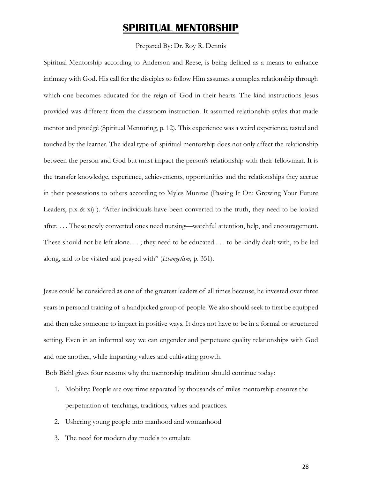# **SPIRITUAL MENTORSHIP**

#### Prepared By: Dr. Roy R. Dennis

Spiritual Mentorship according to Anderson and Reese, is being defined as a means to enhance intimacy with God. His call for the disciples to follow Him assumes a complex relationship through which one becomes educated for the reign of God in their hearts. The kind instructions Jesus provided was different from the classroom instruction. It assumed relationship styles that made mentor and protégé (Spiritual Mentoring, p. 12). This experience was a weird experience, tasted and touched by the learner. The ideal type of spiritual mentorship does not only affect the relationship between the person and God but must impact the person's relationship with their fellowman. It is the transfer knowledge, experience, achievements, opportunities and the relationships they accrue in their possessions to others according to Myles Munroe (Passing It On: Growing Your Future Leaders, p.x & xi) ). "After individuals have been converted to the truth, they need to be looked after. . . . These newly converted ones need nursing—watchful attention, help, and encouragement. These should not be left alone. . . ; they need to be educated . . . to be kindly dealt with, to be led along, and to be visited and prayed with" (*Evangelism*, p. 351).

Jesus could be considered as one of the greatest leaders of all times because, he invested over three years in personal training of a handpicked group of people. We also should seek to first be equipped and then take someone to impact in positive ways. It does not have to be in a formal or structured setting. Even in an informal way we can engender and perpetuate quality relationships with God and one another, while imparting values and cultivating growth.

Bob Biehl gives four reasons why the mentorship tradition should continue today:

- 1. Mobility: People are overtime separated by thousands of miles mentorship ensures the perpetuation of teachings, traditions, values and practices.
- 2. Ushering young people into manhood and womanhood
- 3. The need for modern day models to emulate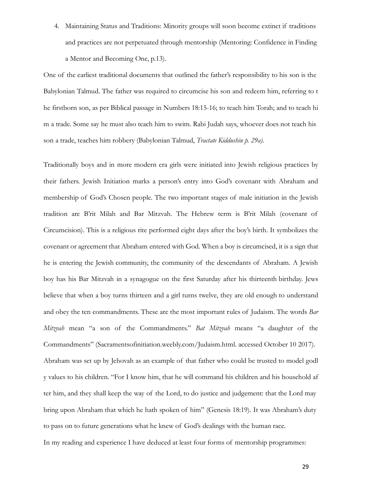4. Maintaining Status and Traditions: Minority groups will soon become extinct if traditions and practices are not perpetuated through mentorship (Mentoring: Confidence in Finding a Mentor and Becoming One, p.13).

One of the earliest traditional documents that outlined the father's responsibility to his son is the Babylonian Talmud. The father was required to circumcise his son and redeem him, referring to t he firstborn son, as per Biblical passage in Numbers 18:15-16; to teach him Torah; and to teach hi m a trade. Some say he must also teach him to swim. Rabi Judah says, whoever does not teach his son a trade, teaches him robbery (Babylonian Talmud, *Tractate Kiddushin p. 29a).*

Traditionally boys and in more modern era girls were initiated into Jewish religious practices by their fathers. Jewish Initiation marks a person's entry into God's covenant with Abraham and membership of God's Chosen people. The two important stages of male initiation in the Jewish tradition are B'rit Milah and Bar Mitzvah. The Hebrew term is B'rit Milah (covenant of Circumcision). This is a religious rite performed eight days after the boy's birth. It symbolizes the covenant or agreement that Abraham entered with God. When a boy is circumcised, it is a sign that he is entering the Jewish community, the community of the descendants of Abraham. A Jewish boy has his Bar Mitzvah in a synagogue on the first Saturday after his thirteenth birthday. Jews believe that when a boy turns thirteen and a girl turns twelve, they are old enough to understand and obey the ten commandments. These are the most important rules of Judaism. The words *Bar Mitzvah* mean "a son of the Commandments." *Bat Mitzvah* means "a daughter of the Commandments" (Sacramentsofinitiation.weebly.com/Judaism.html. accessed October 10 2017). Abraham was set up by Jehovah as an example of that father who could be trusted to model godl y values to his children. "For I know him, that he will command his children and his household af ter him, and they shall keep the way of the Lord, to do justice and judgement: that the Lord may bring upon Abraham that which he hath spoken of him" (Genesis 18:19). It was Abraham's duty to pass on to future generations what he knew of God's dealings with the human race.

In my reading and experience I have deduced at least four forms of mentorship programmes: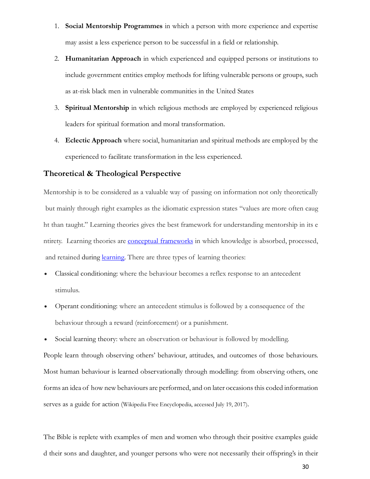- 1. **Social Mentorship Programmes** in which a person with more experience and expertise may assist a less experience person to be successful in a field or relationship.
- 2. **Humanitarian Approach** in which experienced and equipped persons or institutions to include government entities employ methods for lifting vulnerable persons or groups, such as at-risk black men in vulnerable communities in the United States
- 3. **Spiritual Mentorship** in which religious methods are employed by experienced religious leaders for spiritual formation and moral transformation.
- 4. **Eclectic Approach** where social, humanitarian and spiritual methods are employed by the experienced to facilitate transformation in the less experienced.

## **Theoretical & Theological Perspective**

Mentorship is to be considered as a valuable way of passing on information not only theoretically but mainly through right examples as the idiomatic expression states "values are more often caug ht than taught." Learning theories gives the best framework for understanding mentorship in its e ntirety. Learning theories are [conceptual frameworks](https://en.wikipedia.org/wiki/Conceptual_framework) in which knowledge is absorbed, processed, and retained during *learning*. There are three types of learning theories:

- [Classical conditioning:](https://en.wikipedia.org/wiki/Classical_conditioning) where the behaviour becomes a reflex response to an antecedent stimulus.
- [Operant conditioning:](https://en.wikipedia.org/wiki/Operant_conditioning) where an antecedent stimulus is followed by a consequence of the behaviour through a reward (reinforcement) or a punishment.
- [Social learning theory:](https://en.wikipedia.org/wiki/Social_learning_theory) where an observation or behaviour is followed by modelling.

People learn through observing others' behaviour, attitudes, and outcomes of those behaviours. Most human behaviour is learned observationally through modelling: from observing others, one forms an idea of how new behaviours are performed, and on later occasions this coded information serves as a guide for action (Wikipedia Free Encyclopedia, accessed July 19, 2017).

The Bible is replete with examples of men and women who through their positive examples guide d their sons and daughter, and younger persons who were not necessarily their offspring's in their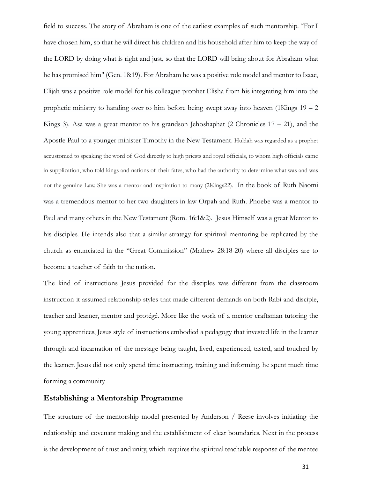field to success. The story of Abraham is one of the earliest examples of such mentorship. "For I have chosen him, so that he will direct his children and his household after him to keep the way of the LORD by doing what is right and just, so that the LORD will bring about for Abraham what he has promised him" (Gen. 18:19). For Abraham he was a positive role model and mentor to Isaac, Elijah was a positive role model for his colleague prophet Elisha from his integrating him into the prophetic ministry to handing over to him before being swept away into heaven  $(1$ Kings  $19 - 2$ Kings 3). Asa was a great mentor to his grandson Jehoshaphat  $(2 \text{ Chromicles } 17 - 21)$ , and the Apostle Paul to a younger minister Timothy in the New Testament. Huldah was regarded as a prophet accustomed to speaking the word of God directly to high priests and royal officials, to whom high officials came in supplication, who told kings and nations of their fates, who had the authority to determine what was and was not the genuine Law. She was a mentor and inspiration to many (2Kings22). In the book of Ruth Naomi was a tremendous mentor to her two daughters in law Orpah and Ruth. Phoebe was a mentor to Paul and many others in the New Testament (Rom. 16:1&2). Jesus Himself was a great Mentor to his disciples. He intends also that a similar strategy for spiritual mentoring be replicated by the church as enunciated in the "Great Commission" (Mathew 28:18-20) where all disciples are to become a teacher of faith to the nation.

The kind of instructions Jesus provided for the disciples was different from the classroom instruction it assumed relationship styles that made different demands on both Rabi and disciple, teacher and learner, mentor and protégé. More like the work of a mentor craftsman tutoring the young apprentices, Jesus style of instructions embodied a pedagogy that invested life in the learner through and incarnation of the message being taught, lived, experienced, tasted, and touched by the learner. Jesus did not only spend time instructing, training and informing, he spent much time forming a community

#### **Establishing a Mentorship Programme**

The structure of the mentorship model presented by Anderson / Reese involves initiating the relationship and covenant making and the establishment of clear boundaries. Next in the process is the development of trust and unity, which requires the spiritual teachable response of the mentee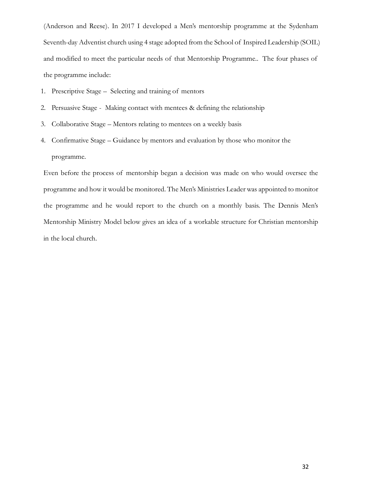(Anderson and Reese). In 2017 I developed a Men's mentorship programme at the Sydenham Seventh-day Adventist church using 4 stage adopted from the School of Inspired Leadership (SOIL) and modified to meet the particular needs of that Mentorship Programme.. The four phases of the programme include:

- 1. Prescriptive Stage Selecting and training of mentors
- 2. Persuasive Stage Making contact with mentees & defining the relationship
- 3. Collaborative Stage Mentors relating to mentees on a weekly basis
- 4. Confirmative Stage Guidance by mentors and evaluation by those who monitor the programme.

Even before the process of mentorship began a decision was made on who would oversee the programme and how it would be monitored. The Men's Ministries Leader was appointed to monitor the programme and he would report to the church on a monthly basis. The Dennis Men's Mentorship Ministry Model below gives an idea of a workable structure for Christian mentorship in the local church.